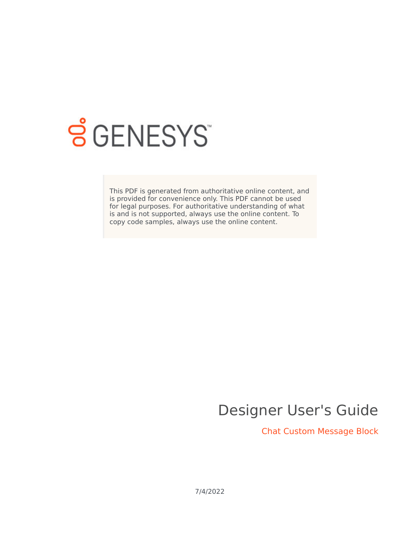

# **S** GENESYS

This PDF is generated from authoritative online content, and is provided for convenience only. This PDF cannot be used for legal purposes. For authoritative understanding of what is and is not supported, always use the online content. To copy code samples, always use the online content.

# Designer User's Guide

Chat Custom Message Block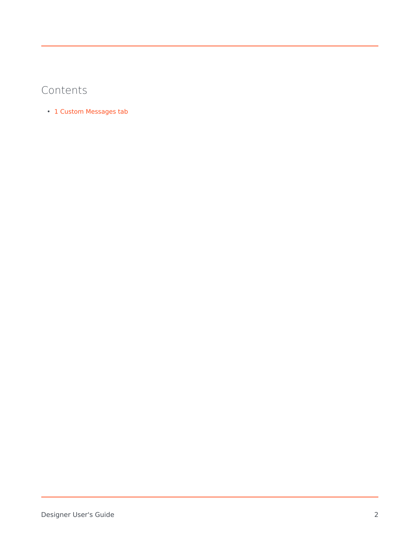## Contents

• 1 [Custom Messages tab](#page-2-0)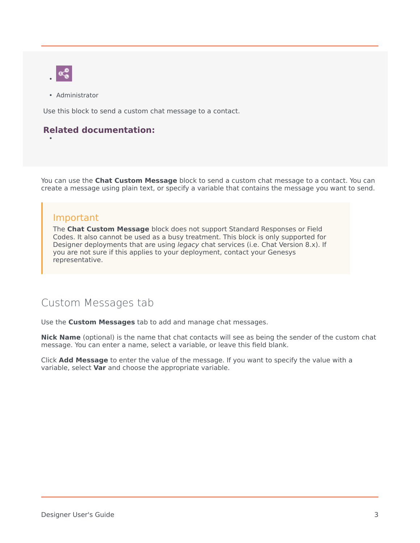

•

• Administrator

Use this block to send a custom chat message to a contact.

#### **Related documentation:**

You can use the **Chat Custom Message** block to send a custom chat message to a contact. You can create a message using plain text, or specify a variable that contains the message you want to send.

#### Important

The **Chat Custom Message** block does not support Standard Responses or Field Codes. It also cannot be used as a busy treatment. This block is only supported for Designer deployments that are using *legacy* chat services (i.e. Chat Version 8.x). If you are not sure if this applies to your deployment, contact your Genesys representative.

### <span id="page-2-0"></span>Custom Messages tab

Use the **Custom Messages** tab to add and manage chat messages.

**Nick Name** (optional) is the name that chat contacts will see as being the sender of the custom chat message. You can enter a name, select a variable, or leave this field blank.

Click **Add Message** to enter the value of the message. If you want to specify the value with a variable, select **Var** and choose the appropriate variable.